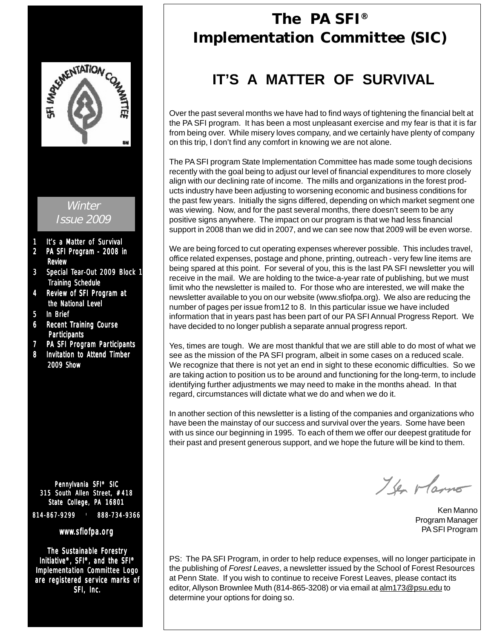

# **The PA SFI® Implementation Committee (SIC)**

# **IT'S A MATTER OF SURVIVAL**

Over the past several months we have had to find ways of tightening the financial belt at the PA SFI program. It has been a most unpleasant exercise and my fear is that it is far from being over. While misery loves company, and we certainly have plenty of company on this trip, I don't find any comfort in knowing we are not alone.

The PA SFI program State Implementation Committee has made some tough decisions recently with the goal being to adjust our level of financial expenditures to more closely align with our declining rate of income. The mills and organizations in the forest products industry have been adjusting to worsening economic and business conditions for the past few years. Initially the signs differed, depending on which market segment one was viewing. Now, and for the past several months, there doesn't seem to be any positive signs anywhere. The impact on our program is that we had less financial support in 2008 than we did in 2007, and we can see now that 2009 will be even worse.

We are being forced to cut operating expenses wherever possible. This includes travel, office related expenses, postage and phone, printing, outreach - very few line items are being spared at this point. For several of you, this is the last PA SFI newsletter you will receive in the mail. We are holding to the twice-a-year rate of publishing, but we must limit who the newsletter is mailed to. For those who are interested, we will make the newsletter available to you on our website (www.sfiofpa.org). We also are reducing the number of pages per issue from12 to 8. In this particular issue we have included information that in years past has been part of our PA SFI Annual Progress Report. We have decided to no longer publish a separate annual progress report.

Yes, times are tough. We are most thankful that we are still able to do most of what we see as the mission of the PA SFI program, albeit in some cases on a reduced scale. We recognize that there is not yet an end in sight to these economic difficulties. So we are taking action to position us to be around and functioning for the long-term, to include identifying further adjustments we may need to make in the months ahead. In that regard, circumstances will dictate what we do and when we do it.

In another section of this newsletter is a listing of the companies and organizations who have been the mainstay of our success and survival over the years. Some have been with us since our beginning in 1995. To each of them we offer our deepest gratitude for their past and present generous support, and we hope the future will be kind to them.

I've rlamo

Ken Manno Program Manager PA SFI Program

PS: The PA SFI Program, in order to help reduce expenses, will no longer participate in the publishing of *Forest Leaves*, a newsletter issued by the School of Forest Resources at Penn State. If you wish to continue to receive Forest Leaves, please contact its editor, Allyson Brownlee Muth (814-865-3208) or via email at alm173@psu.edu to determine your options for doing so.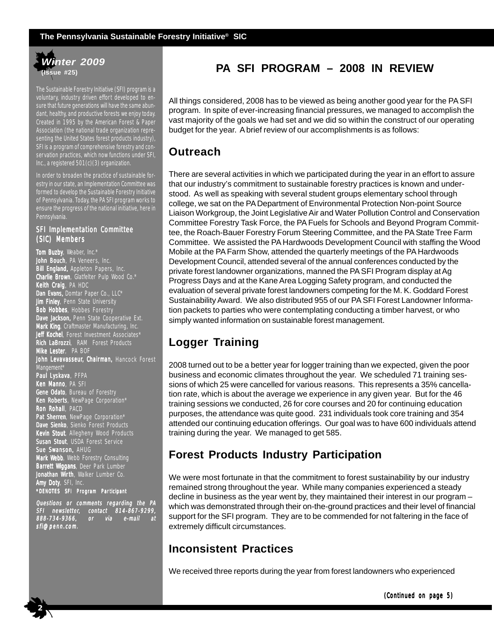

The Sustainable Forestry Initiative (SFI) program is a voluntary, industry driven effort developed to ensure that future generations will have the same abundant, healthy, and productive forests we enjoy today. Created in 1995 by the American Forest & Paper Association (the national trade organization representing the United States forest products industry), SFI is a program of comprehensive forestry and conservation practices, which now functions under SFI, Inc., a registered 501(c)(3) organization.

In order to broaden the practice of sustainable forestry in our state, an Implementation Committee was formed to develop the Sustainable Forestry Initiative of Pennsylvania. Today, the PA SFI program works to ensure the progress of the national initiative, here in **Pennsylvania** 

### SFI Implementation Committee (SIC) Members

Tom Buzby, Weaber, Inc.\* **John Bouch**, PA Veneers, Inc. Bill England, Appleton Papers, Inc. Charlie Brown, Glatfelter Pulp Wood Co.\* Keith Craig, PA HDC Dan Evans, Domtar Paper Co., LLC\* **Jim Finley**, Penn State University Bob Hobbes, Hobbes Forestry Dave Jackson, Penn State Cooperative Ext. Mark King, Craftmaster Manufacturing, Inc. Jeff Kochel, Forest Investment Associates\* Rich LaBrozzi, RAM Forest Products Mike Lester, PA BOF John Levavasseur, Chairman, Hancock Forest Mangement\* Paul Lyskava, PFPA Ken Manno, PA SFI Gene Odato, Bureau of Forestry **Ken Roberts**, NewPage Corporation\* **Ron Rohall**, PACD Pat Sherren, NewPage Corporation\* Dave Sienko, Sienko Forest Products **Kevin Stout**, Allegheny Wood Products Susan Stout, USDA Forest Service Sue Swanson, AHUG Mark Webb, Webb Forestry Consulting Barrett Wiggans, Deer Park Lumber Jonathan Wirth, Walker Lumber Co. Amy Doty, SFI, Inc. \*DENOTES SFI Program Par ticipant

Questions or comments regarding the PA SFI newsletter, contact 814-867-9299, 814-867-9299, 888-734-9366, or via e-mail at sfi@penn.com.

 **2**

# **PA SFI PROGRAM – 2008 IN REVIEW**

All things considered, 2008 has to be viewed as being another good year for the PA SFI program. In spite of ever-increasing financial pressures, we managed to accomplish the vast majority of the goals we had set and we did so within the construct of our operating budget for the year. A brief review of our accomplishments is as follows:

# **Outreach**

There are several activities in which we participated during the year in an effort to assure that our industry's commitment to sustainable forestry practices is known and understood. As well as speaking with several student groups elementary school through college, we sat on the PA Department of Environmental Protection Non-point Source Liaison Workgroup, the Joint Legislative Air and Water Pollution Control and Conservation Committee Forestry Task Force, the PA Fuels for Schools and Beyond Program Committee, the Roach-Bauer Forestry Forum Steering Committee, and the PA State Tree Farm Committee. We assisted the PA Hardwoods Development Council with staffing the Wood Mobile at the PA Farm Show, attended the quarterly meetings of the PA Hardwoods Development Council, attended several of the annual conferences conducted by the private forest landowner organizations, manned the PA SFI Program display at Ag Progress Days and at the Kane Area Logging Safety program, and conducted the evaluation of several private forest landowners competing for the M. K. Goddard Forest Sustainability Award. We also distributed 955 of our PA SFI Forest Landowner Information packets to parties who were contemplating conducting a timber harvest, or who simply wanted information on sustainable forest management.

# **Logger Training**

2008 turned out to be a better year for logger training than we expected, given the poor business and economic climates throughout the year. We scheduled 71 training sessions of which 25 were cancelled for various reasons. This represents a 35% cancellation rate, which is about the average we experience in any given year. But for the 46 training sessions we conducted, 26 for core courses and 20 for continuing education purposes, the attendance was quite good. 231 individuals took core training and 354 attended our continuing education offerings. Our goal was to have 600 individuals attend training during the year. We managed to get 585.

# **Forest Products Industry Participation**

We were most fortunate in that the commitment to forest sustainability by our industry remained strong throughout the year. While many companies experienced a steady decline in business as the year went by, they maintained their interest in our program – which was demonstrated through their on-the-ground practices and their level of financial support for the SFI program. They are to be commended for not faltering in the face of extremely difficult circumstances.

# **Inconsistent Practices**

We received three reports during the year from forest landowners who experienced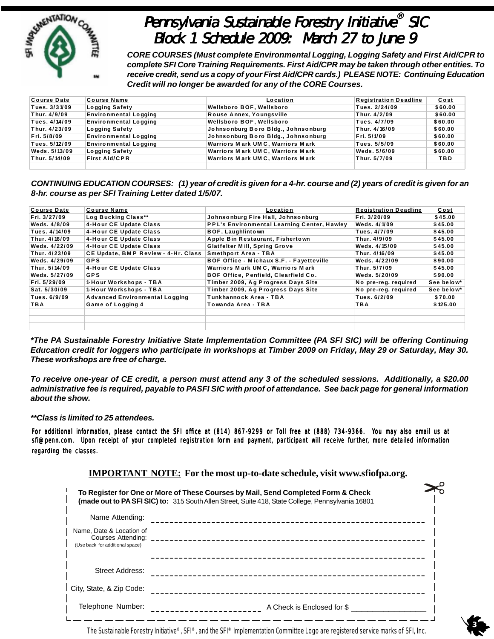

# Pennsylvania Sustainable Forestry Initiative® SIC Block 1 Schedule 2009: March 27 to June 9

*CORE COURSES (Must complete Environmental Logging, Logging Safety and First Aid/CPR to complete SFI Core Training Requirements. First Aid/CPR may be taken through other entities. To receive credit, send us a copy of your First Aid/CPR cards.) PLEASE NOTE: Continuing Education Credit will no longer be awarded for any of the CORE Courses.*

| <b>Course Date</b> | <b>Course Name</b>           | Location                            | <b>Registration Deadline</b> | Cost       |
|--------------------|------------------------------|-------------------------------------|------------------------------|------------|
| Tues. 3/31/09      | <b>Logging Safety</b>        | Wellsboro BOF, Wellsboro            | Tues. 2/24/09                | \$60.00    |
| Thur. 4/9/09       | <b>Environmental Logging</b> | Rouse Annex, Youngsville            | Thur. 4/2/09                 | \$60.00    |
| Tues. 4/14/09      | <b>Environmental Logging</b> | Wellsboro BOF, Wellsboro            | Tues. 4/7/09                 | \$60.00    |
| Thur. 4/23/09      | <b>Logging Safety</b>        | Johnsonburg Boro Bldg., Johnsonburg | Thur. 4/16/09                | \$60.00    |
| Fri. 5/8/09        | Environmental Logging        | Johnsonburg Boro Bidg., Johnsonburg | Fri. 5/1/09                  | \$60.00    |
| Tues. 5/12/09      | <b>Environmental Logging</b> | Warriors Mark UMC, Warriors Mark    | Tues. 5/5/09                 | \$60.00    |
| Weds. 5/13/09      | <b>Logging Safety</b>        | Warriors Mark UMC, Warriors Mark    | Weds. 5/6/09                 | \$60.00    |
| Thur. 5/14/09      | <b>First Aid/CPR</b>         | Warriors Mark UMC, Warriors Mark    | Thur. 5/7/09                 | <b>TBD</b> |
|                    |                              |                                     |                              |            |

*CONTINUING EDUCATION COURSES: (1) year of credit is given for a 4-hr. course and (2) years of credit is given for an 8-hr. course as per SFI Training Letter dated 1/5/07.*

| <b>Course Date</b> | <b>Course Name</b>                    | Location                                           | <b>Registration Deadline</b> | <u>Cost</u> |
|--------------------|---------------------------------------|----------------------------------------------------|------------------------------|-------------|
| Fri. 3/27/09       | Log Bucking Class**                   | Johnsonburg Fire Hall, Johnsonburg                 | Fri. 3/20/09                 | \$45.00     |
| Weds. 4/8/09       | 4-Hour CE Update Class                | <b>PPL's Environmental Learning Center, Hawley</b> | <b>Weds. 4/1/09</b>          | \$45.00     |
| Tues. 4/14/09      | 4-Hour CE Update Class                | <b>BOF, Laughlintown</b>                           | <b>Tues. 4/7/09</b>          | \$45.00     |
| Thur. 4/16/09      | 4-Hour CE Update Class                | Apple Bin Restaurant, Fishertown                   | Thur. 4/9/09                 | \$45.00     |
| Weds. 4/22/09      | 4-Hour CE Update Class                | <b>Glatfelter Mill, Spring Grove</b>               | Weds. 4/15/09                | \$45.00     |
| Thur. 4/23/09      | CE Update, BMP Review - 4-Hr. Class   | <b>Smethport Area - TBA</b>                        | Thur. 4/16/09                | \$45.00     |
| Weds. 4/29/09      | <b>GPS</b>                            | BOF Office - Michaux S.F. - Fayetteville           | Weds. 4/22/09                | \$90.00     |
| Thur. 5/14/09      | 4-Hour CE Update Class                | Warriors Mark UMC, Warriors Mark                   | Thur. 5/7/09                 | \$45.00     |
| Weds. 5/27/09      | <b>GPS</b>                            | BOF Office, Penfield, Clearfield Co.               | Weds. 5/20/09                | \$90.00     |
| Fri. 5/29/09       | 1-Hour Workshops - TBA                | Timber 2009, Ag Progress Days Site                 | No pre-reg. required         | See below*  |
| Sat. 5/30/09       | 1-Hour Workshops - TBA                | Timber 2009, Ag Progress Days Site                 | No pre-reg. required         | See below*  |
| Tues. 6/9/09       | <b>Advanced Environmental Logging</b> | Tunkhannock Area - TBA                             | Tues. 6/2/09                 | \$70.00     |
| TBA                | Game of Logging 4                     | Towanda Area - TBA                                 | TBA                          | \$125.00    |
|                    |                                       |                                                    |                              |             |
|                    |                                       |                                                    |                              |             |
|                    |                                       |                                                    |                              |             |

*\*The PA Sustainable Forestry Initiative State Implementation Committee (PA SFI SIC) will be offering Continuing Education credit for loggers who participate in workshops at Timber 2009 on Friday, May 29 or Saturday, May 30. These workshops are free of charge.*

*To receive one-year of CE credit, a person must attend any 3 of the scheduled sessions. Additionally, a \$20.00 administrative fee is required, payable to PASFI SIC with proof of attendance. See back page for general information about the show.*

### *\*\*Class is limited to 25 attendees.*

For additional information, please contact the SFI office at (814) 867-9299 or Toll free at (888) 734-9366. You may also email us at sfi@penn.com. Upon receipt of your completed registration form and payment, participant will receive further, more detailed information regarding the classes.

| To Register for One or More of These Courses by Mail, Send Completed Form & Check<br><b>(made out to PA SFI SIC) to:</b> 315 South Allen Street, Suite 418, State College, Pennsylvania 16801 |                            |  |  |
|-----------------------------------------------------------------------------------------------------------------------------------------------------------------------------------------------|----------------------------|--|--|
| Name Attending:                                                                                                                                                                               |                            |  |  |
| Name, Date & Location of<br>Courses Attending:<br>(Use back for additional space)                                                                                                             |                            |  |  |
| Street Address:                                                                                                                                                                               |                            |  |  |
| City, State, & Zip Code:                                                                                                                                                                      |                            |  |  |
| Telephone Number:                                                                                                                                                                             | A Check is Enclosed for \$ |  |  |

**IMPORTANT NOTE: For the most up-to-date schedule, visit www.sfiofpa.org.**

The Sustainable Forestry Initiative®, SFI®, and the SFI® Implementation Committee Logo are registered service marks of SFI, Inc.

 **3**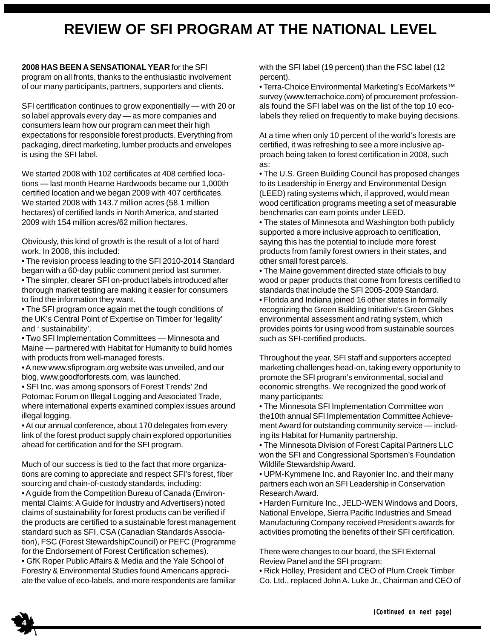# **REVIEW OF SFI PROGRAM AT THE NATIONAL LEVEL**

### **2008 HAS BEEN A SENSATIONAL YEAR** for the SFI

program on all fronts, thanks to the enthusiastic involvement of our many participants, partners, supporters and clients.

SFI certification continues to grow exponentially — with 20 or so label approvals every day — as more companies and consumers learn how our program can meet their high expectations for responsible forest products. Everything from packaging, direct marketing, lumber products and envelopes is using the SFI label.

We started 2008 with 102 certificates at 408 certified locations — last month Hearne Hardwoods became our 1,000th certified location and we began 2009 with 407 certificates. We started 2008 with 143.7 million acres (58.1 million hectares) of certified lands in North America, and started 2009 with 154 million acres/62 million hectares.

Obviously, this kind of growth is the result of a lot of hard work. In 2008, this included:

- The revision process leading to the SFI 2010-2014 Standard began with a 60-day public comment period last summer.
- The simpler, clearer SFI on-product labels introduced after thorough market testing are making it easier for consumers to find the information they want.
- The SFI program once again met the tough conditions of the UK's Central Point of Expertise on Timber for 'legality' and ' sustainability'.
- Two SFI Implementation Committees Minnesota and Maine — partnered with Habitat for Humanity to build homes with products from well-managed forests.
- A new www.sfiprogram.org website was unveiled, and our blog, www.goodforforests.com, was launched.
- SFI Inc. was among sponsors of Forest Trends' 2nd Potomac Forum on Illegal Logging and Associated Trade, where international experts examined complex issues around illegal logging.
- At our annual conference, about 170 delegates from every link of the forest product supply chain explored opportunities ahead for certification and for the SFI program.

Much of our success is tied to the fact that more organizations are coming to appreciate and respect SFI's forest, fiber sourcing and chain-of-custody standards, including: • A guide from the Competition Bureau of Canada (Environmental Claims: A Guide for Industry and Advertisers) noted claims of sustainability for forest products can be verified if the products are certified to a sustainable forest management standard such as SFI, CSA (Canadian Standards Association), FSC (Forest StewardshipCouncil) or PEFC (Programme for the Endorsement of Forest Certification schemes). • GfK Roper Public Affairs & Media and the Yale School of Forestry & Environmental Studies found Americans appreciate the value of eco-labels, and more respondents are familiar with the SFI label (19 percent) than the FSC label (12 percent).

• Terra-Choice Environmental Marketing's EcoMarkets™ survey (www.terrachoice.com) of procurement professionals found the SFI label was on the list of the top 10 ecolabels they relied on frequently to make buying decisions.

At a time when only 10 percent of the world's forests are certified, it was refreshing to see a more inclusive approach being taken to forest certification in 2008, such as:

• The U.S. Green Building Council has proposed changes to its Leadership in Energy and Environmental Design (LEED) rating systems which, if approved, would mean wood certification programs meeting a set of measurable benchmarks can earn points under LEED.

• The states of Minnesota and Washington both publicly supported a more inclusive approach to certification, saying this has the potential to include more forest products from family forest owners in their states, and other small forest parcels.

• The Maine government directed state officials to buy wood or paper products that come from forests certified to standards that include the SFI 2005-2009 Standard.

• Florida and Indiana joined 16 other states in formally recognizing the Green Building Initiative's Green Globes environmental assessment and rating system, which provides points for using wood from sustainable sources such as SFI-certified products.

Throughout the year, SFI staff and supporters accepted marketing challenges head-on, taking every opportunity to promote the SFI program's environmental, social and economic strengths. We recognized the good work of many participants:

- The Minnesota SFI Implementation Committee won the10th annual SFI Implementation Committee Achievement Award for outstanding community service — including its Habitat for Humanity partnership.
- The Minnesota Division of Forest Capital Partners LLC won the SFI and Congressional Sportsmen's Foundation Wildlife Stewardship Award.

• UPM-Kymmene Inc. and Rayonier Inc. and their many partners each won an SFI Leadership in Conservation Research Award.

• Harden Furniture Inc., JELD-WEN Windows and Doors, National Envelope, Sierra Pacific Industries and Smead Manufacturing Company received President's awards for activities promoting the benefits of their SFI certification.

There were changes to our board, the SFI External Review Panel and the SFI program:

• Rick Holley, President and CEO of Plum Creek Timber Co. Ltd., replaced John A. Luke Jr., Chairman and CEO of

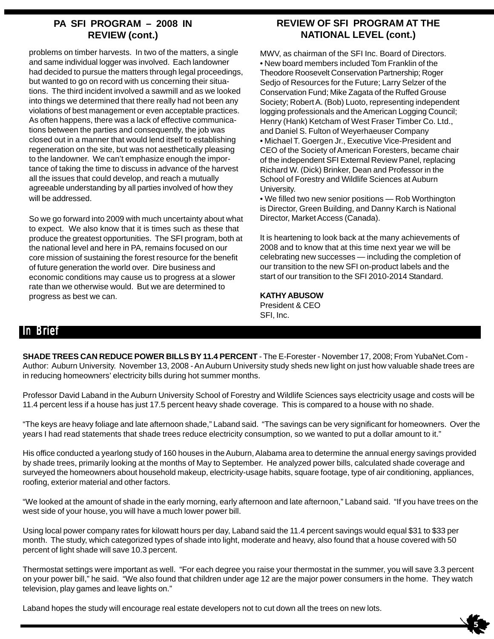### **PA SFI PROGRAM – 2008 IN REVIEW (cont.)**

problems on timber harvests. In two of the matters, a single and same individual logger was involved. Each landowner had decided to pursue the matters through legal proceedings, but wanted to go on record with us concerning their situations. The third incident involved a sawmill and as we looked into things we determined that there really had not been any violations of best management or even acceptable practices. As often happens, there was a lack of effective communications between the parties and consequently, the job was closed out in a manner that would lend itself to establishing regeneration on the site, but was not aesthetically pleasing to the landowner. We can't emphasize enough the importance of taking the time to discuss in advance of the harvest all the issues that could develop, and reach a mutually agreeable understanding by all parties involved of how they will be addressed.

So we go forward into 2009 with much uncertainty about what to expect. We also know that it is times such as these that produce the greatest opportunities. The SFI program, both at the national level and here in PA, remains focused on our core mission of sustaining the forest resource for the benefit of future generation the world over. Dire business and economic conditions may cause us to progress at a slower rate than we otherwise would. But we are determined to progress as best we can.

### **REVIEW OF SFI PROGRAM AT THE NATIONAL LEVEL (cont.)**

MWV, as chairman of the SFI Inc. Board of Directors. • New board members included Tom Franklin of the Theodore Roosevelt Conservation Partnership; Roger Sedjo of Resources for the Future; Larry Selzer of the Conservation Fund; Mike Zagata of the Ruffed Grouse Society; Robert A. (Bob) Luoto, representing independent logging professionals and the American Logging Council; Henry (Hank) Ketcham of West Fraser Timber Co. Ltd., and Daniel S. Fulton of Weyerhaeuser Company • Michael T. Goergen Jr., Executive Vice-President and CEO of the Society of American Foresters, became chair of the independent SFI External Review Panel, replacing Richard W. (Dick) Brinker, Dean and Professor in the School of Forestry and Wildlife Sciences at Auburn University.

• We filled two new senior positions — Rob Worthington is Director, Green Building, and Danny Karch is National Director, Market Access (Canada).

It is heartening to look back at the many achievements of 2008 and to know that at this time next year we will be celebrating new successes — including the completion of our transition to the new SFI on-product labels and the start of our transition to the SFI 2010-2014 Standard.

 $\frac{1}{5}$ 

### **KATHY ABUSOW**

President & CEO SFI, Inc.

# In Brief

**SHADE TREES CAN REDUCE POWER BILLS BY 11.4 PERCENT** - The E-Forester - November 17, 2008; From YubaNet.Com - Author: Auburn University. November 13, 2008 - An Auburn University study sheds new light on just how valuable shade trees are in reducing homeowners' electricity bills during hot summer months.

Professor David Laband in the Auburn University School of Forestry and Wildlife Sciences says electricity usage and costs will be 11.4 percent less if a house has just 17.5 percent heavy shade coverage. This is compared to a house with no shade.

"The keys are heavy foliage and late afternoon shade," Laband said. "The savings can be very significant for homeowners. Over the years I had read statements that shade trees reduce electricity consumption, so we wanted to put a dollar amount to it."

His office conducted a yearlong study of 160 houses in the Auburn, Alabama area to determine the annual energy savings provided by shade trees, primarily looking at the months of May to September. He analyzed power bills, calculated shade coverage and surveyed the homeowners about household makeup, electricity-usage habits, square footage, type of air conditioning, appliances, roofing, exterior material and other factors.

"We looked at the amount of shade in the early morning, early afternoon and late afternoon," Laband said. "If you have trees on the west side of your house, you will have a much lower power bill.

Using local power company rates for kilowatt hours per day, Laband said the 11.4 percent savings would equal \$31 to \$33 per month. The study, which categorized types of shade into light, moderate and heavy, also found that a house covered with 50 percent of light shade will save 10.3 percent.

Thermostat settings were important as well. "For each degree you raise your thermostat in the summer, you will save 3.3 percent on your power bill," he said. "We also found that children under age 12 are the major power consumers in the home. They watch television, play games and leave lights on."

Laband hopes the study will encourage real estate developers not to cut down all the trees on new lots.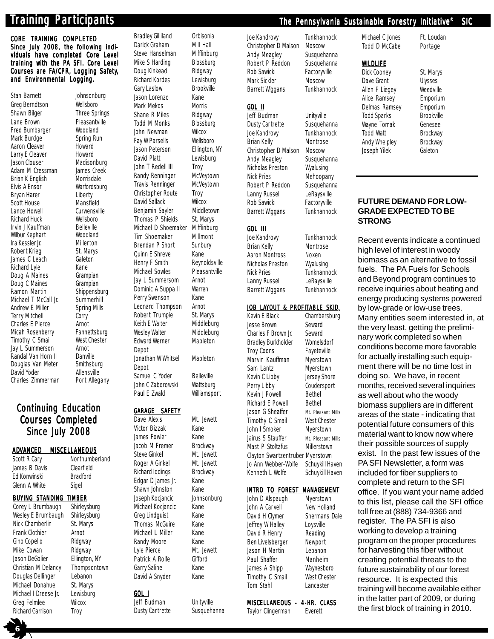CORE TRAINING COMPLETED Since July 2008, the following individuals have completed Core Level training with the PA SFI. Core Level Courses are FA/CPR, Logging Safety, and Environmental Logging.

Stan Barnett Johnsonburg Greg Berndtson Wellsboro Shawn Bilger Three Springs Lane Brown Pleasantville Fred Bumbarger Woodland Mark Burdge Spring Run Aaron Cleaver Howard Larry E Cleaver Howard<br>Jason Clouser Madisor Adam M Cressman James Creek Brian K English Morrisdale Elvis A Ensor Warfordsburg Bryan Harer Liberty<br>Scott House Mansfield Scott House Lance Howell Curwensville Richard Huck Wellsboro Irvin J Kauffman Belleville Wilbur Kephart Woodland Ira Kessler Jr. Robert Krieg St. Marys James C Leach Galeton Richard Lyle Kane Doug A Maines<br>
Doug C Maines<br>
Grampian Doug C Maines<br>
Ramon Martin Shippensburg Ramon Martin Michael T McCall Jr. Summerhill Andrew E Miller Spring Mills<br>Terry Mitchell Corry **Terry Mitchell** Charles E Pierce **Arnot**<br>Micah Rosenberry Fannettsburg Micah Rosenberry Timothy C Smail West Chester Jay L Summerson Arnot Randal Van Horn II Douglas Van Meter Smithsburg David Yoder **Allensville** Charles Zimmerman Port Allegany

# Madisonburg

### **Continuing Education Courses Completed** Since July 2008

### ADVANCED MISCELLANEOUS

Scott R Cary Northumberland James B Davis Clearfield Ed Konwinski Bradford Glenn A White Sigel

### BUYING STANDING TIMBER

Corey L Brumbaugh Shirleysburg Wesley E Brumbaugh Shirleysburg Nick Chamberlin St. Marys Frank Clothier Arnot Gino Copello Ridgway Mike Cowan Ridgway Jason DeGolier Ellington, NY Christian M Delancy Thompsontown Douglas Dellinger Lebanon Michael Donahue St. Marys Michael I Dreese Jr. Lewisburg Greg Felmlee Wilcox Richard Garrison Troy

 **6**

Brendan P Short Quinn E Shreve Kane Jay L Summersom Arnot Dominic A Suppa II Warren Perry Swanson Kane Leonard Thompson Arnot Depot Depot Samuel C Yoder Belleville

### GARAGE SAFETY

Victor Bizzak Kane James Fowler Kane Richard Iddings Brockway Edgar D James Jr. Kane Shawn Johnston Kane Michael Kocjancic Kane Greg Lindquist Kane Thomas McGuire Kane Michael L Miller Kane Randy Moore Kane Patrick A Rolfe **Gifford** Garry Saline Kane David A Snyder Kane

### GOL I

Jeff Budman Unityville Dusty Cartrette Susquehanna

Bradley Gilliland Orbisonia Darick Graham Mill Hall Steve Hanselman Mifflinburg Mike S Harding Blossburg Doug Kinkead Ridgway Richard Kordes Lewisburg Gary Laslow **Brookville** Jason Lorenzo Kane Mark Mekos Morris Shane R Miles Ridgway Todd M Monks Blossburg John Newman Wilcox Fay W Parsells Wellsboro Jason Peterson Ellington, NY David Platt Lewisburg John T Redell III Troy Randy Renninger McVeytown Travis Renninger McVeytown Christopher Route Troy David Sallack Wilcox Benjamin Sayler Middletown Thomas P Shields St. Marys Michael D Shoemaker Mifflinburg Tim Shoemaker Millmont<br>Brendan P Short Sunbury Henry F Smith Reynoldsville Michael Sowles Pleasantville Robert Trumpie St. Marys Keith E Walter Middleburg Wesley Walter Middleburg Edward Werner Mapleton Jonathan W Whitsel Mapleton John C Zaborowski Wattsburg Paul E Zwald Williamsport Dave Alexis Mt. Jewett Jacob M Fremer Brockway Steve Ginkel Mt. Jewett

Roger A Ginkel Mt. Jewett Joseph Kocjancic Johnsonburg Lyle Pierce Mt. Jewett

### Joe Kandrovy Tunkhannock Christopher D Malson Moscow Andy Meagley Susquehanna Robert P Reddon Susquehanna Rob Sawicki Factoryville Mark Sickler Moscow Barrett Wiggans Tunkhannock

GOL II Jeff Budman Unityville Dusty Cartrette Susquehanna<br>Joe Kandrovy Tunkhannock Joe Kandrovy Brian Kelly Montrose Christopher D Malson Moscow Andy Meagley Susquehanna Nicholas Preston Wyalusing Nick Pries Mehoopany Robert P Reddon Susquehanna Lanny Russell LeRaysville Rob Sawicki Factoryville Barrett Wiggans Tunkhannock

### GOL III

Joe Kandrovy Tunkhannock Brian Kelly Montrose Aaron Montross Noxen Nicholas Preston Wyalusing Nick Pries Tunknannock Lanny Russell LeRaysville Barrett Wiggans Tunkhannock

### JOB LAYOUT & PROFITABLE SKID.

Kevin E Black Chambersburg Jesse Brown Seward Charles F Brown Jr. Seward Bradley Burkholder Womelsdorf Troy Coons Fayeteville Marvin Kauffman Myerstown Sam Lantz Myerstown Kevin C Libby Jersey Shore Perry Libby Coudersport Kevin J Powell Bethel Richard E Powell Bethel Jason G Sheaffer Mt. Pleasant Mills Timothy C Smail West Chester John I Smoker Myerstown Jairus S Stauffer Mt. Pleasant Mills Mast P Stoltzfus Millerstown Clayton Swartzentruber Myerstown Jo Ann Webber-Wolfe Schuykill Haven Kenneth L Wolfe Schuykill Haven

### INTRO TO FOREST MANAGEMENT

| Myerstown                          |
|------------------------------------|
| New Holland                        |
| <b>Shermans Dale</b>               |
| Loysville                          |
| Reading                            |
| Newport                            |
| Lebanon                            |
| Manheim                            |
| Waynesboro                         |
| <b>West Chester</b>                |
| Lancaster                          |
|                                    |
| <u>MISCELLANEOUS - 4-HR. CLASS</u> |
|                                    |

### Taylor Clingerman Everett

Michael C Jones Ft. Loudan Todd D McCabe Portage

### WILDLIFE

Dick Cooney St. Marys Wayne Tomak

Dave Grant Ulysses Allen F Liegey Weedville Alice Ramsey Emporium Delmas Ramsey Emporium<br>Todd Sparks Brookville Todd Sparks Brookville<br>Wavne Tomak Genesee Todd Watt Brockway Andy Whelpley Brockway Joseph Yilek Galeton

### **FUTURE DEMAND FOR LOW-GRADE EXPECTED TO BE STRONG**

Recent events indicate a continued high level of interest in woody biomass as an alternative to fossil fuels. The PA Fuels for Schools and Beyond program continues to receive inquiries about heating and energy producing systems powered by low-grade or low-use trees. Many entities seem interested in, at the very least, getting the preliminary work completed so when conditions become more favorable for actually installing such equipment there will be no time lost in doing so. We have, in recent months, received several inquiries as well about who the woody biomass suppliers are in different areas of the state - indicating that potential future consumers of this material want to know now where their possible sources of supply exist. In the past few issues of the PA SFI Newsletter, a form was included for fiber suppliers to complete and return to the SFI office. If you want your name added to this list, please call the SFI office toll free at (888) 734-9366 and register. The PA SFI is also working to develop a training program on the proper procedures for harvesting this fiber without creating potential threats to the future sustainability of our forest resource. It is expected this training will become available either in the latter part of 2009, or during the first block of training in 2010.

# Training Participants ticipants the Pennsylvania Sustainable Forestry Initiative<sup>®</sup> SIC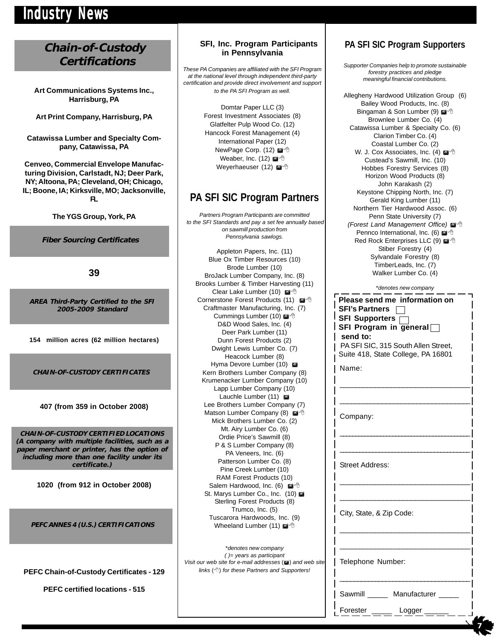# Industry News

# **Chain-of-Custody Certifications**

**Art Communications Systems Inc., Harrisburg, PA**

**Art Print Company, Harrisburg, PA**

**Catawissa Lumber and Specialty Company, Catawissa, PA**

**Cenveo, Commercial Envelope Manufacturing Division, Carlstadt, NJ; Deer Park, NY; Altoona, PA; Cleveland, OH; Chicago, IL; Boone, IA; Kirksville, MO; Jacksonville, FL**

**The YGS Group, York, PA**

**Fiber Sourcing Certificates**

**39**

**AREA Third-Party Certified to the SFI 2005-2009 Standard**

**154 million acres (62 million hectares)**

**CHAIN-OF-CUSTODY CERTIFICATES**

### **407 (from 359 in October 2008)**

**CHAIN-OF-CUSTODY CERTIFIED LOCATIONS (A company with multiple facilities, such as a paper merchant or printer, has the option of including more than one facility under its certificate.)**

**1020 (from 912 in October 2008)**

**PEFC ANNES 4 (U.S.) CERTIFICATIONS**

**PEFC Chain-of-Custody Certificates - 129**

**PEFC certified locations - 515**

### **SFI, Inc. Program Participants in Pennsylvania**

*These PA Companies are affiliated with the SFI Program at the national level through independent third-party certification and provide direct involvement and support to the PA SFI Program as well.*

> Domtar Paper LLC (3) Forest Investment Associates (8) Glatfelter Pulp Wood Co. (12) Hancock Forest Management (4) International Paper (12) NewPage Corp. (12) Weaber, Inc. (12) Weyerhaeuser (12) @<sup>-</sup>

# **PA SFI SIC Program Partners**

*Partners Program Participants are committed to the SFI Standards and pay a set fee annually based on sawmill production from Pennsylvania sawlogs.*

Appleton Papers, Inc. (11) Blue Ox Timber Resources (10) Brode Lumber (10) BroJack Lumber Company, Inc. (8) Brooks Lumber & Timber Harvesting (11) Clear Lake Lumber (10) Cornerstone Forest Products (11) ⊠<sup>-</sup> Craftmaster Manufacturing, Inc. (7) Cummings Lumber (10) D&D Wood Sales, Inc. (4) Deer Park Lumber (11) Dunn Forest Products (2) Dwight Lewis Lumber Co. (7) Heacock Lumber (8) Hyma Devore Lumber (10) Kern Brothers Lumber Company (8) Krumenacker Lumber Company (10) Lapp Lumber Company (10) Lauchle Lumber (11) Lee Brothers Lumber Company (7) Matson Lumber Company (8) Mick Brothers Lumber Co. (2) Mt. Airy Lumber Co. (6) Ordie Price's Sawmill (8) P & S Lumber Company (8) PA Veneers, Inc. (6) Patterson Lumber Co. (8) Pine Creek Lumber (10) RAM Forest Products (10) Salem Hardwood, Inc. (6) St. Marys Lumber Co., Inc. (10) Sterling Forest Products (8) Trumco, Inc. (5) Tuscarora Hardwoods, Inc. (9) Wheeland Lumber (11)

\**denotes new company ( )= years as participant Visit our web site for e-mail addresses* ( $\blacksquare$ ) and web site *links* () *for these Partners and Supporters!*

### **PA SFI SIC Program Supporters**

*Supporter Companies help to promote sustainable forestry practices and pledge meaningful financial contributions.*

Allegheny Hardwood Utilization Group (6) Bailey Wood Products, Inc. (8) Bingaman & Son Lumber (9) @ 8 Brownlee Lumber Co. (4) Catawissa Lumber & Specialty Co. (6) Clarion Timber Co. (4) Coastal Lumber Co. (2) W. J. Cox Associates, Inc. (4) @<sup>-</sup> Custead's Sawmill, Inc. (10) Hobbes Forestry Services (8) Horizon Wood Products (8) John Karakash (2) Keystone Chipping North, Inc. (7) Gerald King Lumber (11) Northern Tier Hardwood Assoc. (6) Penn State University (7) **(Forest Land Management Office)**  $\mathbb{Z}^4$ Pennco International, Inc. (6)  $\mathbb{Z}^4$  <sup>(2</sup>) Red Rock Enterprises LLC (9) @ <sup>+</sup> Stiber Forestry (4) Sylvandale Forestry (8) TimberLeads, Inc. (7) Walker Lumber Co. (4)

\**denotes new company*

|                     | *denotes new company                                                                                                                                                                               |  |
|---------------------|----------------------------------------------------------------------------------------------------------------------------------------------------------------------------------------------------|--|
| ৰ^ী<br>7)           | Please send me information on<br><b>SFI's Partners</b><br>SFI Supporters<br>SFI Program in general $\Box$<br>send to:<br>PA SFI SIC, 315 South Allen Street,<br>Suite 418, State College, PA 16801 |  |
| 8)<br>0)            | Name:                                                                                                                                                                                              |  |
| ")<br>ð             | Company:                                                                                                                                                                                           |  |
| Ń                   | <b>Street Address:</b>                                                                                                                                                                             |  |
|                     | City, State, & Zip Code:                                                                                                                                                                           |  |
| I web sitel<br>ers! | Telephone Number:                                                                                                                                                                                  |  |
|                     | Sawmill Manufacturer                                                                                                                                                                               |  |
|                     | Forester<br>Logger                                                                                                                                                                                 |  |

 **7**